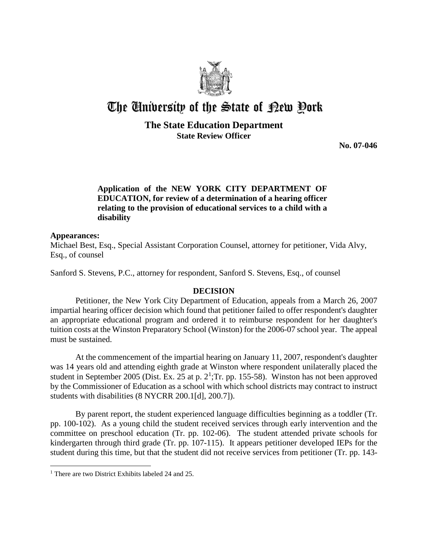

# The University of the State of Pew Pork

## **The State Education Department State Review Officer**

**No. 07-046** 

## **Application of the NEW YORK CITY DEPARTMENT OF EDUCATION, for review of a determination of a hearing officer relating to the provision of educational services to a child with a disability**

#### **Appearances:**

 $\overline{a}$ 

Michael Best, Esq., Special Assistant Corporation Counsel, attorney for petitioner, Vida Alvy, Esq., of counsel

Sanford S. Stevens, P.C., attorney for respondent, Sanford S. Stevens, Esq., of counsel

### **DECISION**

Petitioner, the New York City Department of Education, appeals from a March 26, 2007 impartial hearing officer decision which found that petitioner failed to offer respondent's daughter an appropriate educational program and ordered it to reimburse respondent for her daughter's tuition costs at the Winston Preparatory School (Winston) for the 2006-07 school year. The appeal must be sustained.

At the commencement of the impartial hearing on January 11, 2007, respondent's daughter was 14 years old and attending eighth grade at Winston where respondent unilaterally placed the student in September 2005 (Dist. Ex. 25 at p.  $2^1$ ; Tr. pp. 155-58). Winston has not been approved by the Commissioner of Education as a school with which school districts may contract to instruct students with disabilities (8 NYCRR 200.1[d], 200.7]).

By parent report, the student experienced language difficulties beginning as a toddler (Tr. pp. 100-102). As a young child the student received services through early intervention and the committee on preschool education (Tr. pp. 102-06). The student attended private schools for kindergarten through third grade (Tr. pp. 107-115). It appears petitioner developed IEPs for the student during this time, but that the student did not receive services from petitioner (Tr. pp. 143-

<sup>&</sup>lt;sup>1</sup> There are two District Exhibits labeled 24 and 25.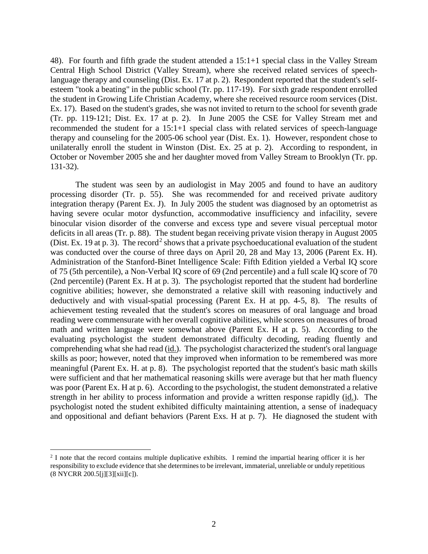48). For fourth and fifth grade the student attended a 15:1+1 special class in the Valley Stream Central High School District (Valley Stream), where she received related services of speechlanguage therapy and counseling (Dist. Ex. 17 at p. 2). Respondent reported that the student's selfesteem "took a beating" in the public school (Tr. pp. 117-19). For sixth grade respondent enrolled the student in Growing Life Christian Academy, where she received resource room services (Dist. Ex. 17). Based on the student's grades, she was not invited to return to the school for seventh grade (Tr. pp. 119-121; Dist. Ex. 17 at p. 2). In June 2005 the CSE for Valley Stream met and recommended the student for a 15:1+1 special class with related services of speech-language therapy and counseling for the 2005-06 school year (Dist. Ex. 1). However, respondent chose to unilaterally enroll the student in Winston (Dist. Ex. 25 at p. 2). According to respondent, in October or November 2005 she and her daughter moved from Valley Stream to Brooklyn (Tr. pp. 131-32).

The student was seen by an audiologist in May 2005 and found to have an auditory processing disorder (Tr. p. 55). She was recommended for and received private auditory integration therapy (Parent Ex. J). In July 2005 the student was diagnosed by an optometrist as having severe ocular motor dysfunction, accommodative insufficiency and infacility, severe binocular vision disorder of the converse and excess type and severe visual perceptual motor deficits in all areas (Tr. p. 88). The student began receiving private vision therapy in August 2005 (Dist. Ex. 19 at p. 3). The record<sup>2</sup> shows that a private psychoeducational evaluation of the student was conducted over the course of three days on April 20, 28 and May 13, 2006 (Parent Ex. H). Administration of the Stanford-Binet Intelligence Scale: Fifth Edition yielded a Verbal IQ score of 75 (5th percentile), a Non-Verbal IQ score of 69 (2nd percentile) and a full scale IQ score of 70 (2nd percentile) (Parent Ex. H at p. 3). The psychologist reported that the student had borderline cognitive abilities; however, she demonstrated a relative skill with reasoning inductively and deductively and with visual-spatial processing (Parent Ex. H at pp. 4-5, 8). The results of achievement testing revealed that the student's scores on measures of oral language and broad reading were commensurate with her overall cognitive abilities, while scores on measures of broad math and written language were somewhat above (Parent Ex. H at p. 5). According to the evaluating psychologist the student demonstrated difficulty decoding, reading fluently and comprehending what she had read (id.). The psychologist characterized the student's oral language skills as poor; however, noted that they improved when information to be remembered was more meaningful (Parent Ex. H. at p. 8). The psychologist reported that the student's basic math skills were sufficient and that her mathematical reasoning skills were average but that her math fluency was poor (Parent Ex. H at p. 6). According to the psychologist, the student demonstrated a relative strength in her ability to process information and provide a written response rapidly (id.). The psychologist noted the student exhibited difficulty maintaining attention, a sense of inadequacy and oppositional and defiant behaviors (Parent Exs. H at p. 7). He diagnosed the student with

<sup>&</sup>lt;sup>2</sup> I note that the record contains multiple duplicative exhibits. I remind the impartial hearing officer it is her responsibility to exclude evidence that she determines to be irrelevant, immaterial, unreliable or unduly repetitious (8 NYCRR 200.5[j][3][xii][c]).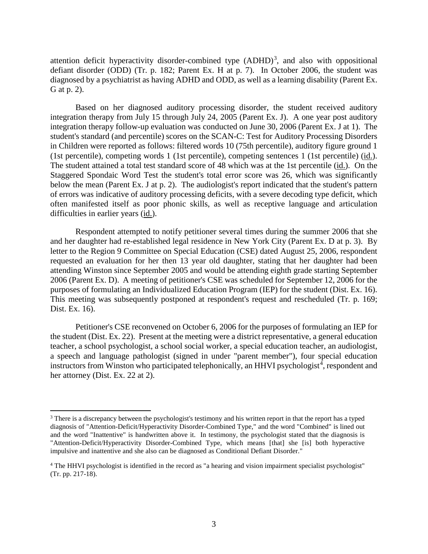attention deficit hyperactivity disorder-combined type  $(ADHD)^3$ , and also with oppositional defiant disorder (ODD) (Tr. p. 182; Parent Ex. H at p. 7). In October 2006, the student was diagnosed by a psychiatrist as having ADHD and ODD, as well as a learning disability (Parent Ex. G at p. 2).

Based on her diagnosed auditory processing disorder, the student received auditory integration therapy from July 15 through July 24, 2005 (Parent Ex. J). A one year post auditory integration therapy follow-up evaluation was conducted on June 30, 2006 (Parent Ex. J at 1). The student's standard (and percentile) scores on the SCAN-C: Test for Auditory Processing Disorders in Children were reported as follows: filtered words 10 (75th percentile), auditory figure ground 1 (1st percentile), competing words 1 (1st percentile), competing sentences 1 (1st percentile) (id.). The student attained a total test standard score of 48 which was at the 1st percentile (id.). On the Staggered Spondaic Word Test the student's total error score was 26, which was significantly below the mean (Parent Ex. J at p. 2). The audiologist's report indicated that the student's pattern of errors was indicative of auditory processing deficits, with a severe decoding type deficit, which often manifested itself as poor phonic skills, as well as receptive language and articulation difficulties in earlier years (id.).

Respondent attempted to notify petitioner several times during the summer 2006 that she and her daughter had re-established legal residence in New York City (Parent Ex. D at p. 3). By letter to the Region 9 Committee on Special Education (CSE) dated August 25, 2006, respondent requested an evaluation for her then 13 year old daughter, stating that her daughter had been attending Winston since September 2005 and would be attending eighth grade starting September 2006 (Parent Ex. D). A meeting of petitioner's CSE was scheduled for September 12, 2006 for the purposes of formulating an Individualized Education Program (IEP) for the student (Dist. Ex. 16). This meeting was subsequently postponed at respondent's request and rescheduled (Tr. p. 169; Dist. Ex. 16).

Petitioner's CSE reconvened on October 6, 2006 for the purposes of formulating an IEP for the student (Dist. Ex. 22). Present at the meeting were a district representative, a general education teacher, a school psychologist, a school social worker, a special education teacher, an audiologist, a speech and language pathologist (signed in under "parent member"), four special education instructors from Winston who participated telephonically, an HHVI psychologist<sup>4</sup>, respondent and her attorney (Dist. Ex. 22 at 2).

<sup>&</sup>lt;sup>3</sup> There is a discrepancy between the psychologist's testimony and his written report in that the report has a typed diagnosis of "Attention-Deficit/Hyperactivity Disorder-Combined Type," and the word "Combined" is lined out and the word "Inattentive" is handwritten above it. In testimony, the psychologist stated that the diagnosis is "Attention-Deficit/Hyperactivity Disorder-Combined Type, which means [that] she [is] both hyperactive impulsive and inattentive and she also can be diagnosed as Conditional Defiant Disorder."

<sup>4</sup> The HHVI psychologist is identified in the record as "a hearing and vision impairment specialist psychologist" (Tr. pp. 217-18).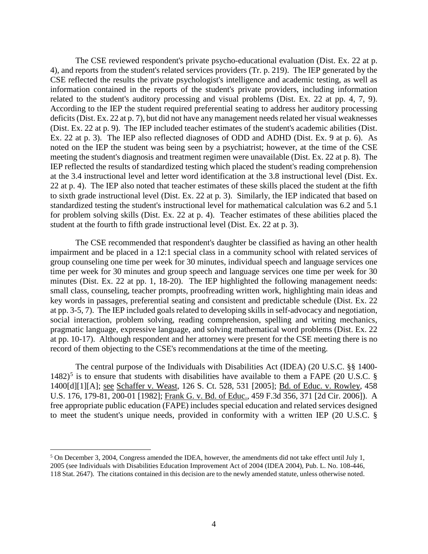The CSE reviewed respondent's private psycho-educational evaluation (Dist. Ex. 22 at p. 4), and reports from the student's related services providers (Tr. p. 219). The IEP generated by the CSE reflected the results the private psychologist's intelligence and academic testing, as well as information contained in the reports of the student's private providers, including information related to the student's auditory processing and visual problems (Dist. Ex. 22 at pp. 4, 7, 9). According to the IEP the student required preferential seating to address her auditory processing deficits (Dist. Ex. 22 at p. 7), but did not have any management needs related her visual weaknesses (Dist. Ex. 22 at p. 9). The IEP included teacher estimates of the student's academic abilities (Dist. Ex. 22 at p. 3). The IEP also reflected diagnoses of ODD and ADHD (Dist. Ex. 9 at p. 6). As noted on the IEP the student was being seen by a psychiatrist; however, at the time of the CSE meeting the student's diagnosis and treatment regimen were unavailable (Dist. Ex. 22 at p. 8). The IEP reflected the results of standardized testing which placed the student's reading comprehension at the 3.4 instructional level and letter word identification at the 3.8 instructional level (Dist. Ex. 22 at p. 4). The IEP also noted that teacher estimates of these skills placed the student at the fifth to sixth grade instructional level (Dist. Ex. 22 at p. 3). Similarly, the IEP indicated that based on standardized testing the student's instructional level for mathematical calculation was 6.2 and 5.1 for problem solving skills (Dist. Ex. 22 at p. 4). Teacher estimates of these abilities placed the student at the fourth to fifth grade instructional level (Dist. Ex. 22 at p. 3).

The CSE recommended that respondent's daughter be classified as having an other health impairment and be placed in a 12:1 special class in a community school with related services of group counseling one time per week for 30 minutes, individual speech and language services one time per week for 30 minutes and group speech and language services one time per week for 30 minutes (Dist. Ex. 22 at pp. 1, 18-20). The IEP highlighted the following management needs: small class, counseling, teacher prompts, proofreading written work, highlighting main ideas and key words in passages, preferential seating and consistent and predictable schedule (Dist. Ex. 22 at pp. 3-5, 7). The IEP included goals related to developing skills in self-advocacy and negotiation, social interaction, problem solving, reading comprehension, spelling and writing mechanics, pragmatic language, expressive language, and solving mathematical word problems (Dist. Ex. 22 at pp. 10-17). Although respondent and her attorney were present for the CSE meeting there is no record of them objecting to the CSE's recommendations at the time of the meeting.

The central purpose of the Individuals with Disabilities Act (IDEA) (20 U.S.C. §§ 1400-  $1482$ <sup>5</sup> is to ensure that students with disabilities have available to them a FAPE (20 U.S.C. § 1400[d][1][A]; see Schaffer v. Weast, 126 S. Ct. 528, 531 [2005]; Bd. of Educ. v. Rowley, 458 U.S. 176, 179-81, 200-01 [1982]; Frank G. v. Bd. of Educ., 459 F.3d 356, 371 [2d Cir. 2006]). A free appropriate public education (FAPE) includes special education and related services designed to meet the student's unique needs, provided in conformity with a written IEP (20 U.S.C. §

 <sup>5</sup> On December 3, 2004, Congress amended the IDEA, however, the amendments did not take effect until July 1, 2005 (see Individuals with Disabilities Education Improvement Act of 2004 (IDEA 2004), Pub. L. No. 108-446, 118 Stat. 2647). The citations contained in this decision are to the newly amended statute, unless otherwise noted.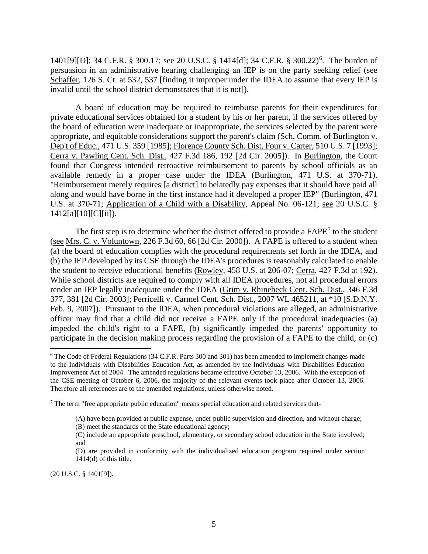1401[9][D]; 34 C.F.R. § 300.17; see 20 U.S.C. § 1414[d]; 34 C.F.R. § 300.22)<sup>6</sup> . The burden of persuasion in an administrative hearing challenging an IEP is on the party seeking relief (see Schaffer, 126 S. Ct. at 532, 537 [finding it improper under the IDEA to assume that every IEP is invalid until the school district demonstrates that it is not]).

A board of education may be required to reimburse parents for their expenditures for private educational services obtained for a student by his or her parent, if the services offered by the board of education were inadequate or inappropriate, the services selected by the parent were appropriate, and equitable considerations support the parent's claim (Sch. Comm. of Burlington v. Dep't of Educ., 471 U.S. 359 [1985]; Florence County Sch. Dist. Four v. Carter, 510 U.S. 7 [1993]; Cerra v. Pawling Cent. Sch. Dist., 427 F.3d 186, 192 [2d Cir. 2005]). In Burlington, the Court found that Congress intended retroactive reimbursement to parents by school officials as an available remedy in a proper case under the IDEA (Burlington, 471 U.S. at 370-71). "Reimbursement merely requires [a district] to belatedly pay expenses that it should have paid all along and would have borne in the first instance had it developed a proper IEP" (Burlington, 471 U.S. at 370-71; Application of a Child with a Disability, Appeal No. 06-121; see 20 U.S.C. § 1412[a][10][C][ii]).

The first step is to determine whether the district offered to provide a FAPE<sup>7</sup> to the student (see Mrs. C. v. Voluntown, 226 F.3d 60, 66 [2d Cir. 2000]). A FAPE is offered to a student when (a) the board of education complies with the procedural requirements set forth in the IDEA, and (b) the IEP developed by its CSE through the IDEA's procedures is reasonably calculated to enable the student to receive educational benefits (Rowley, 458 U.S. at 206-07; Cerra, 427 F.3d at 192). While school districts are required to comply with all IDEA procedures, not all procedural errors render an IEP legally inadequate under the IDEA (Grim v. Rhinebeck Cent. Sch. Dist., 346 F.3d 377, 381 [2d Cir. 2003]; Perricelli v. Carmel Cent. Sch. Dist., 2007 WL 465211, at \*10 [S.D.N.Y. Feb. 9, 2007]). Pursuant to the IDEA, when procedural violations are alleged, an administrative officer may find that a child did not receive a FAPE only if the procedural inadequacies (a) impeded the child's right to a FAPE, (b) significantly impeded the parents' opportunity to participate in the decision making process regarding the provision of a FAPE to the child, or (c)

(20 U.S.C. § 1401[9]).

 <sup>6</sup> The Code of Federal Regulations (34 C.F.R. Parts 300 and 301) has been amended to implement changes made to the Individuals with Disabilities Education Act, as amended by the Individuals with Disabilities Education Improvement Act of 2004. The amended regulations became effective October 13, 2006. With the exception of the CSE meeting of October 6, 2006, the majority of the relevant events took place after October 13, 2006. Therefore all references are to the amended regulations, unless otherwise noted.

<sup>&</sup>lt;sup>7</sup> The term "free appropriate public education" means special education and related services that-

<sup>(</sup>A) have been provided at public expense, under public supervision and direction, and without charge;

<sup>(</sup>B) meet the standards of the State educational agency;

<sup>(</sup>C) include an appropriate preschool, elementary, or secondary school education in the State involved; and

<sup>(</sup>D) are provided in conformity with the individualized education program required under section 1414(d) of this title.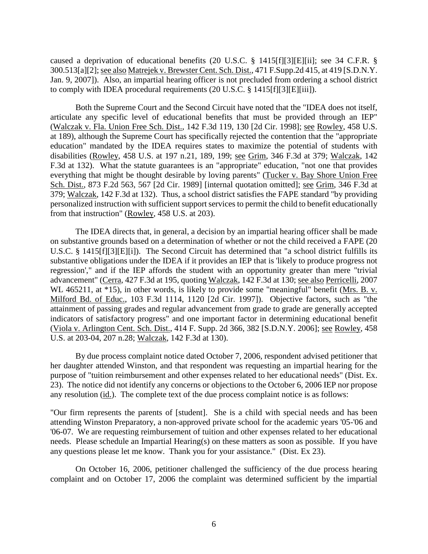caused a deprivation of educational benefits (20 U.S.C. § 1415[f][3][E][ii]; see 34 C.F.R. § 300.513[a][2]; see also Matrejek v. Brewster Cent. Sch. Dist., 471 F.Supp.2d 415, at 419 [S.D.N.Y. Jan. 9, 2007]). Also, an impartial hearing officer is not precluded from ordering a school district to comply with IDEA procedural requirements (20 U.S.C. § 1415[f][3][E][iii]).

Both the Supreme Court and the Second Circuit have noted that the "IDEA does not itself, articulate any specific level of educational benefits that must be provided through an IEP" (Walczak v. Fla. Union Free Sch. Dist., 142 F.3d 119, 130 [2d Cir. 1998]; see Rowley, 458 U.S. at 189), although the Supreme Court has specifically rejected the contention that the "appropriate education" mandated by the IDEA requires states to maximize the potential of students with disabilities (Rowley, 458 U.S. at 197 n.21, 189, 199; see Grim, 346 F.3d at 379; Walczak, 142 F.3d at 132). What the statute guarantees is an "appropriate" education, "not one that provides everything that might be thought desirable by loving parents" (Tucker v. Bay Shore Union Free Sch. Dist., 873 F.2d 563, 567 [2d Cir. 1989] [internal quotation omitted]; see Grim, 346 F.3d at 379; Walczak, 142 F.3d at 132). Thus, a school district satisfies the FAPE standard "by providing personalized instruction with sufficient support services to permit the child to benefit educationally from that instruction" (Rowley, 458 U.S. at 203).

The IDEA directs that, in general, a decision by an impartial hearing officer shall be made on substantive grounds based on a determination of whether or not the child received a FAPE (20 U.S.C. § 1415[f][3][E][i]). The Second Circuit has determined that "a school district fulfills its substantive obligations under the IDEA if it provides an IEP that is 'likely to produce progress not regression'," and if the IEP affords the student with an opportunity greater than mere "trivial advancement" (Cerra, 427 F.3d at 195, quoting Walczak, 142 F.3d at 130; see also Perricelli, 2007 WL 465211, at  $*15$ ), in other words, is likely to provide some "meaningful" benefit (Mrs. B. v. Milford Bd. of Educ., 103 F.3d 1114, 1120 [2d Cir. 1997]). Objective factors, such as "the attainment of passing grades and regular advancement from grade to grade are generally accepted indicators of satisfactory progress" and one important factor in determining educational benefit (Viola v. Arlington Cent. Sch. Dist., 414 F. Supp. 2d 366, 382 [S.D.N.Y. 2006]; see Rowley, 458 U.S. at 203-04, 207 n.28; Walczak, 142 F.3d at 130).

By due process complaint notice dated October 7, 2006, respondent advised petitioner that her daughter attended Winston, and that respondent was requesting an impartial hearing for the purpose of "tuition reimbursement and other expenses related to her educational needs" (Dist. Ex. 23). The notice did not identify any concerns or objections to the October 6, 2006 IEP nor propose any resolution (id.). The complete text of the due process complaint notice is as follows:

"Our firm represents the parents of [student]. She is a child with special needs and has been attending Winston Preparatory, a non-approved private school for the academic years '05-'06 and '06-07. We are requesting reimbursement of tuition and other expenses related to her educational needs. Please schedule an Impartial Hearing(s) on these matters as soon as possible. If you have any questions please let me know. Thank you for your assistance." (Dist. Ex 23).

On October 16, 2006, petitioner challenged the sufficiency of the due process hearing complaint and on October 17, 2006 the complaint was determined sufficient by the impartial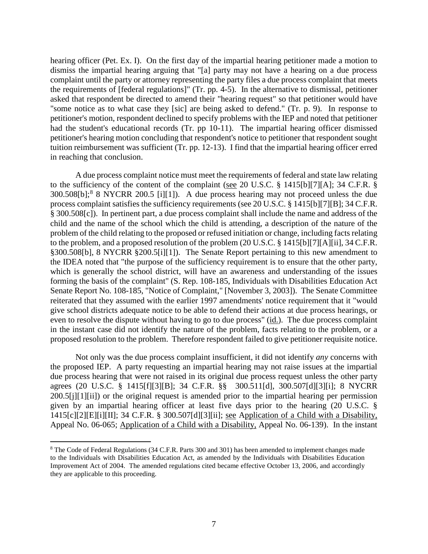hearing officer (Pet. Ex. I). On the first day of the impartial hearing petitioner made a motion to dismiss the impartial hearing arguing that "[a] party may not have a hearing on a due process complaint until the party or attorney representing the party files a due process complaint that meets the requirements of [federal regulations]" (Tr. pp. 4-5). In the alternative to dismissal, petitioner asked that respondent be directed to amend their "hearing request" so that petitioner would have "some notice as to what case they [sic] are being asked to defend." (Tr. p. 9). In response to petitioner's motion, respondent declined to specify problems with the IEP and noted that petitioner had the student's educational records (Tr. pp 10-11). The impartial hearing officer dismissed petitioner's hearing motion concluding that respondent's notice to petitioner that respondent sought tuition reimbursement was sufficient (Tr. pp. 12-13). I find that the impartial hearing officer erred in reaching that conclusion.

A due process complaint notice must meet the requirements of federal and state law relating to the sufficiency of the content of the complaint (see 20 U.S.C. § 1415[b][7][A]; 34 C.F.R. § 300.508[b];<sup>8</sup> 8 NYCRR 200.5 [i][1]). A due process hearing may not proceed unless the due process complaint satisfies the sufficiency requirements (see 20 U.S.C. § 1415[b][7][B]; 34 C.F.R. § 300.508[c]). In pertinent part, a due process complaint shall include the name and address of the child and the name of the school which the child is attending, a description of the nature of the problem of the child relating to the proposed or refused initiation or change, including facts relating to the problem, and a proposed resolution of the problem (20 U.S.C. § 1415[b][7][A][ii], 34 C.F.R. §300.508[b], 8 NYCRR §200.5[i][1]). The Senate Report pertaining to this new amendment to the IDEA noted that "the purpose of the sufficiency requirement is to ensure that the other party, which is generally the school district, will have an awareness and understanding of the issues forming the basis of the complaint" (S. Rep. 108-185, Individuals with Disabilities Education Act Senate Report No. 108-185, "Notice of Complaint," [November 3, 2003]). The Senate Committee reiterated that they assumed with the earlier 1997 amendments' notice requirement that it "would give school districts adequate notice to be able to defend their actions at due process hearings, or even to resolve the dispute without having to go to due process" (id.). The due process complaint in the instant case did not identify the nature of the problem, facts relating to the problem, or a proposed resolution to the problem. Therefore respondent failed to give petitioner requisite notice.

Not only was the due process complaint insufficient, it did not identify *any* concerns with the proposed IEP. A party requesting an impartial hearing may not raise issues at the impartial due process hearing that were not raised in its original due process request unless the other party agrees (20 U.S.C. § 1415[f][3][B]; 34 C.F.R. §§ 300.511[d], 300.507[d][3][i]; 8 NYCRR 200.5[j][1][ii]) or the original request is amended prior to the impartial hearing per permission given by an impartial hearing officer at least five days prior to the hearing (20 U.S.C. § 1415[c][2][E][i][II]; 34 C.F.R. § 300.507[d][3][ii]; see Application of a Child with a Disability, Appeal No. 06-065; Application of a Child with a Disability, Appeal No. 06-139). In the instant

 <sup>8</sup> The Code of Federal Regulations (34 C.F.R. Parts 300 and 301) has been amended to implement changes made to the Individuals with Disabilities Education Act, as amended by the Individuals with Disabilities Education Improvement Act of 2004. The amended regulations cited became effective October 13, 2006, and accordingly they are applicable to this proceeding.